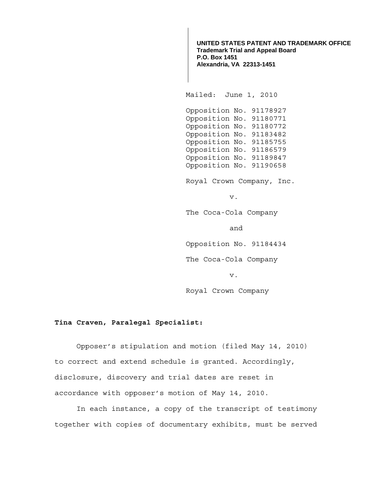**UNITED STATES PATENT AND TRADEMARK OFFICE Trademark Trial and Appeal Board P.O. Box 1451 Alexandria, VA 22313-1451**

Mailed: June 1, 2010

 Opposition No. 91178927 Opposition No. 91180771 Opposition No. 91180772 Opposition No. 91183482 Opposition No. 91185755 Opposition No. 91186579 Opposition No. 91189847 Opposition No. 91190658

Royal Crown Company, Inc.

v.

The Coca-Cola Company

and

Opposition No. 91184434

The Coca-Cola Company

v.

Royal Crown Company

## **Tina Craven, Paralegal Specialist:**

 Opposer's stipulation and motion (filed May 14, 2010) to correct and extend schedule is granted. Accordingly, disclosure, discovery and trial dates are reset in accordance with opposer's motion of May 14, 2010.

In each instance, a copy of the transcript of testimony together with copies of documentary exhibits, must be served